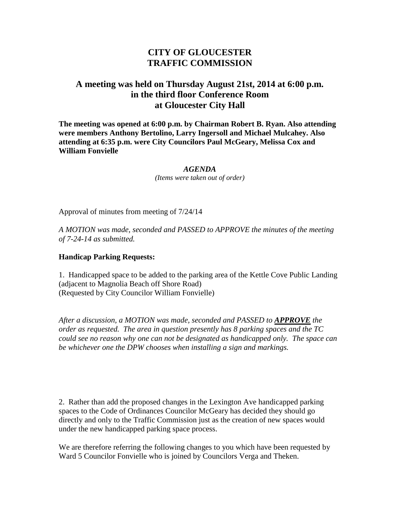## **CITY OF GLOUCESTER TRAFFIC COMMISSION**

## **A meeting was held on Thursday August 21st, 2014 at 6:00 p.m. in the third floor Conference Room at Gloucester City Hall**

**The meeting was opened at 6:00 p.m. by Chairman Robert B. Ryan. Also attending were members Anthony Bertolino, Larry Ingersoll and Michael Mulcahey. Also attending at 6:35 p.m. were City Councilors Paul McGeary, Melissa Cox and William Fonvielle**

*AGENDA*

*(Items were taken out of order)*

Approval of minutes from meeting of 7/24/14

*A MOTION was made, seconded and PASSED to APPROVE the minutes of the meeting of 7-24-14 as submitted.*

## **Handicap Parking Requests:**

1. Handicapped space to be added to the parking area of the Kettle Cove Public Landing (adjacent to Magnolia Beach off Shore Road) (Requested by City Councilor William Fonvielle)

*After a discussion, a MOTION was made, seconded and PASSED to APPROVE the order as requested. The area in question presently has 8 parking spaces and the TC could see no reason why one can not be designated as handicapped only. The space can be whichever one the DPW chooses when installing a sign and markings.*

2. Rather than add the proposed changes in the Lexington Ave handicapped parking spaces to the Code of Ordinances Councilor McGeary has decided they should go directly and only to the Traffic Commission just as the creation of new spaces would under the new handicapped parking space process.

We are therefore referring the following changes to you which have been requested by Ward 5 Councilor Fonvielle who is joined by Councilors Verga and Theken.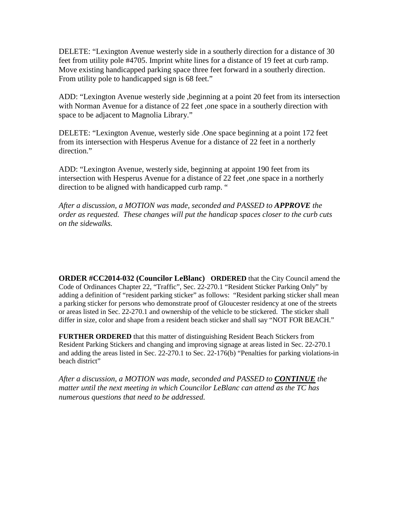DELETE: "Lexington Avenue westerly side in a southerly direction for a distance of 30 feet from utility pole #4705. Imprint white lines for a distance of 19 feet at curb ramp. Move existing handicapped parking space three feet forward in a southerly direction. From utility pole to handicapped sign is 68 feet."

ADD: "Lexington Avenue westerly side ,beginning at a point 20 feet from its intersection with Norman Avenue for a distance of 22 feet ,one space in a southerly direction with space to be adjacent to Magnolia Library."

DELETE: "Lexington Avenue, westerly side .One space beginning at a point 172 feet from its intersection with Hesperus Avenue for a distance of 22 feet in a northerly direction."

ADD: "Lexington Avenue, westerly side, beginning at appoint 190 feet from its intersection with Hesperus Avenue for a distance of 22 feet ,one space in a northerly direction to be aligned with handicapped curb ramp. "

*After a discussion, a MOTION was made, seconded and PASSED to APPROVE the order as requested. These changes will put the handicap spaces closer to the curb cuts on the sidewalks.*

**ORDER #CC2014-032 (Councilor LeBlanc) ORDERED** that the City Council amend the Code of Ordinances Chapter 22, "Traffic", Sec. 22-270.1 "Resident Sticker Parking Only" by adding a definition of "resident parking sticker" as follows: "Resident parking sticker shall mean a parking sticker for persons who demonstrate proof of Gloucester residency at one of the streets or areas listed in Sec. 22-270.1 and ownership of the vehicle to be stickered. The sticker shall differ in size, color and shape from a resident beach sticker and shall say "NOT FOR BEACH."

**FURTHER ORDERED** that this matter of distinguishing Resident Beach Stickers from Resident Parking Stickers and changing and improving signage at areas listed in Sec. 22-270.1 and adding the areas listed in Sec. 22-270.1 to Sec. 22-176(b) "Penalties for parking violations-in beach district"

*After a discussion, a MOTION was made, seconded and PASSED to CONTINUE the matter until the next meeting in which Councilor LeBlanc can attend as the TC has numerous questions that need to be addressed.*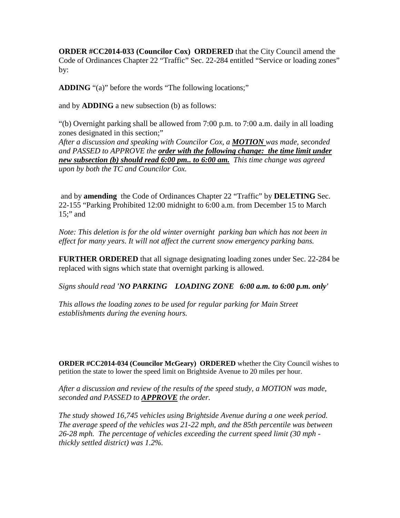**ORDER #CC2014-033 (Councilor Cox) ORDERED** that the City Council amend the Code of Ordinances Chapter 22 "Traffic" Sec. 22-284 entitled "Service or loading zones" by:

**ADDING** "(a)" before the words "The following locations;"

and by **ADDING** a new subsection (b) as follows:

"(b) Overnight parking shall be allowed from 7:00 p.m. to 7:00 a.m. daily in all loading zones designated in this section;"

*After a discussion and speaking with Councilor Cox, a MOTION was made, seconded and PASSED to APPROVE the order with the following change: the time limit under new subsection (b) should read 6:00 pm.. to 6:00 am. This time change was agreed upon by both the TC and Councilor Cox.*

and by **amending** the Code of Ordinances Chapter 22 "Traffic" by **DELETING** Sec. 22-155 "Parking Prohibited 12:00 midnight to 6:00 a.m. from December 15 to March 15;" and

*Note: This deletion is for the old winter overnight parking ban which has not been in effect for many years. It will not affect the current snow emergency parking bans.*

**FURTHER ORDERED** that all signage designating loading zones under Sec. 22-284 be replaced with signs which state that overnight parking is allowed.

*Signs should read 'NO PARKING LOADING ZONE 6:00 a.m. to 6:00 p.m. only'*

*This allows the loading zones to be used for regular parking for Main Street establishments during the evening hours.*

**ORDER #CC2014-034 (Councilor McGeary) ORDERED** whether the City Council wishes to petition the state to lower the speed limit on Brightside Avenue to 20 miles per hour.

*After a discussion and review of the results of the speed study, a MOTION was made, seconded and PASSED to APPROVE the order.* 

*The study showed 16,745 vehicles using Brightside Avenue during a one week period. The average speed of the vehicles was 21-22 mph, and the 85th percentile was between 26-28 mph. The percentage of vehicles exceeding the current speed limit (30 mph thickly settled district) was 1.2%.*